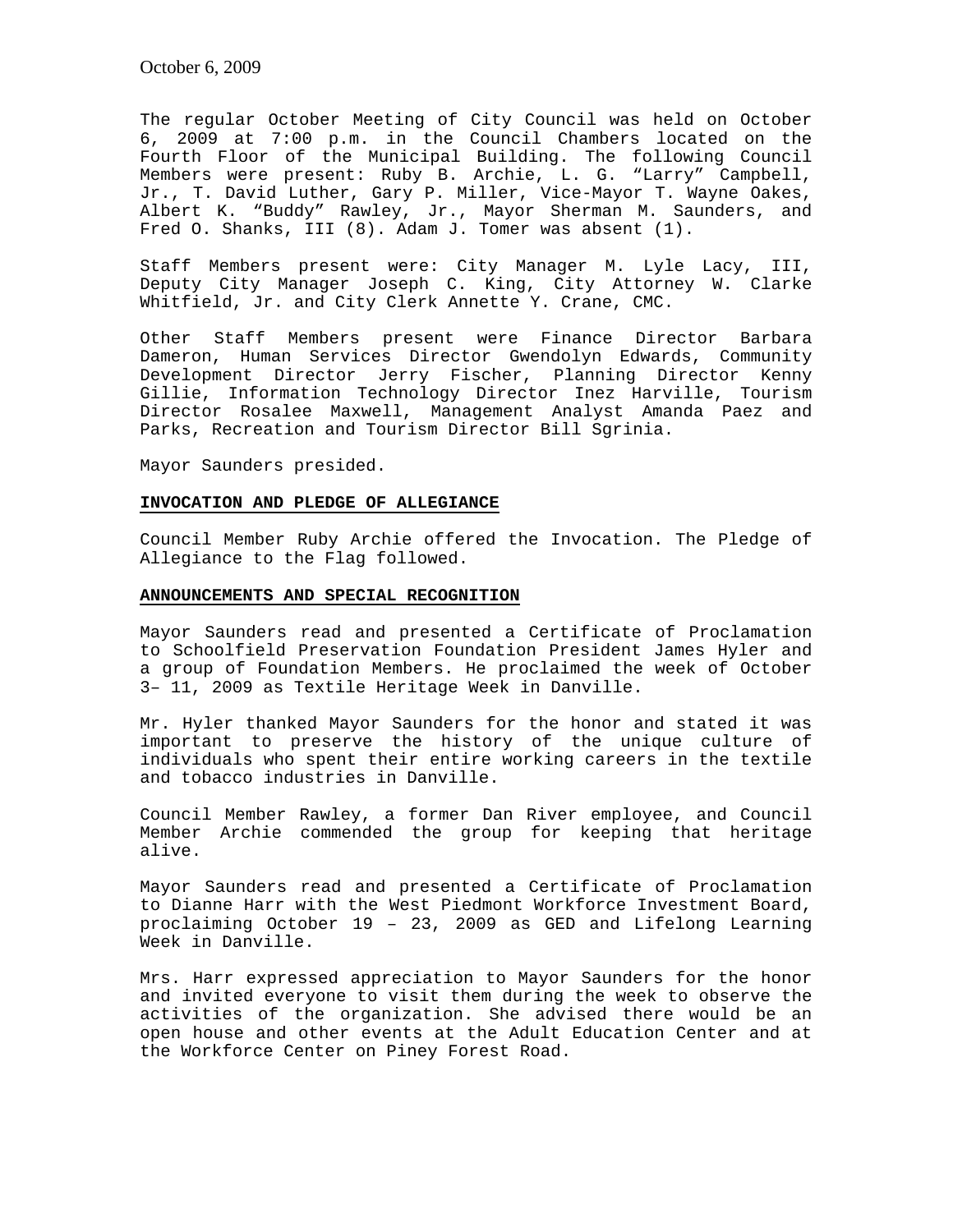The regular October Meeting of City Council was held on October 6, 2009 at 7:00 p.m. in the Council Chambers located on the Fourth Floor of the Municipal Building. The following Council Members were present: Ruby B. Archie, L. G. "Larry" Campbell, Jr., T. David Luther, Gary P. Miller, Vice-Mayor T. Wayne Oakes, Albert K. "Buddy" Rawley, Jr., Mayor Sherman M. Saunders, and Fred O. Shanks, III (8). Adam J. Tomer was absent (1).

Staff Members present were: City Manager M. Lyle Lacy, III, Deputy City Manager Joseph C. King, City Attorney W. Clarke Whitfield, Jr. and City Clerk Annette Y. Crane, CMC.

Other Staff Members present were Finance Director Barbara Dameron, Human Services Director Gwendolyn Edwards, Community Development Director Jerry Fischer, Planning Director Kenny Gillie, Information Technology Director Inez Harville, Tourism Director Rosalee Maxwell, Management Analyst Amanda Paez and Parks, Recreation and Tourism Director Bill Sgrinia.

Mayor Saunders presided.

### **INVOCATION AND PLEDGE OF ALLEGIANCE**

Council Member Ruby Archie offered the Invocation. The Pledge of Allegiance to the Flag followed.

### **ANNOUNCEMENTS AND SPECIAL RECOGNITION**

Mayor Saunders read and presented a Certificate of Proclamation to Schoolfield Preservation Foundation President James Hyler and a group of Foundation Members. He proclaimed the week of October 3– 11, 2009 as Textile Heritage Week in Danville.

Mr. Hyler thanked Mayor Saunders for the honor and stated it was important to preserve the history of the unique culture of individuals who spent their entire working careers in the textile and tobacco industries in Danville.

Council Member Rawley, a former Dan River employee, and Council Member Archie commended the group for keeping that heritage alive.

Mayor Saunders read and presented a Certificate of Proclamation to Dianne Harr with the West Piedmont Workforce Investment Board, proclaiming October 19 – 23, 2009 as GED and Lifelong Learning Week in Danville.

Mrs. Harr expressed appreciation to Mayor Saunders for the honor and invited everyone to visit them during the week to observe the activities of the organization. She advised there would be an open house and other events at the Adult Education Center and at the Workforce Center on Piney Forest Road.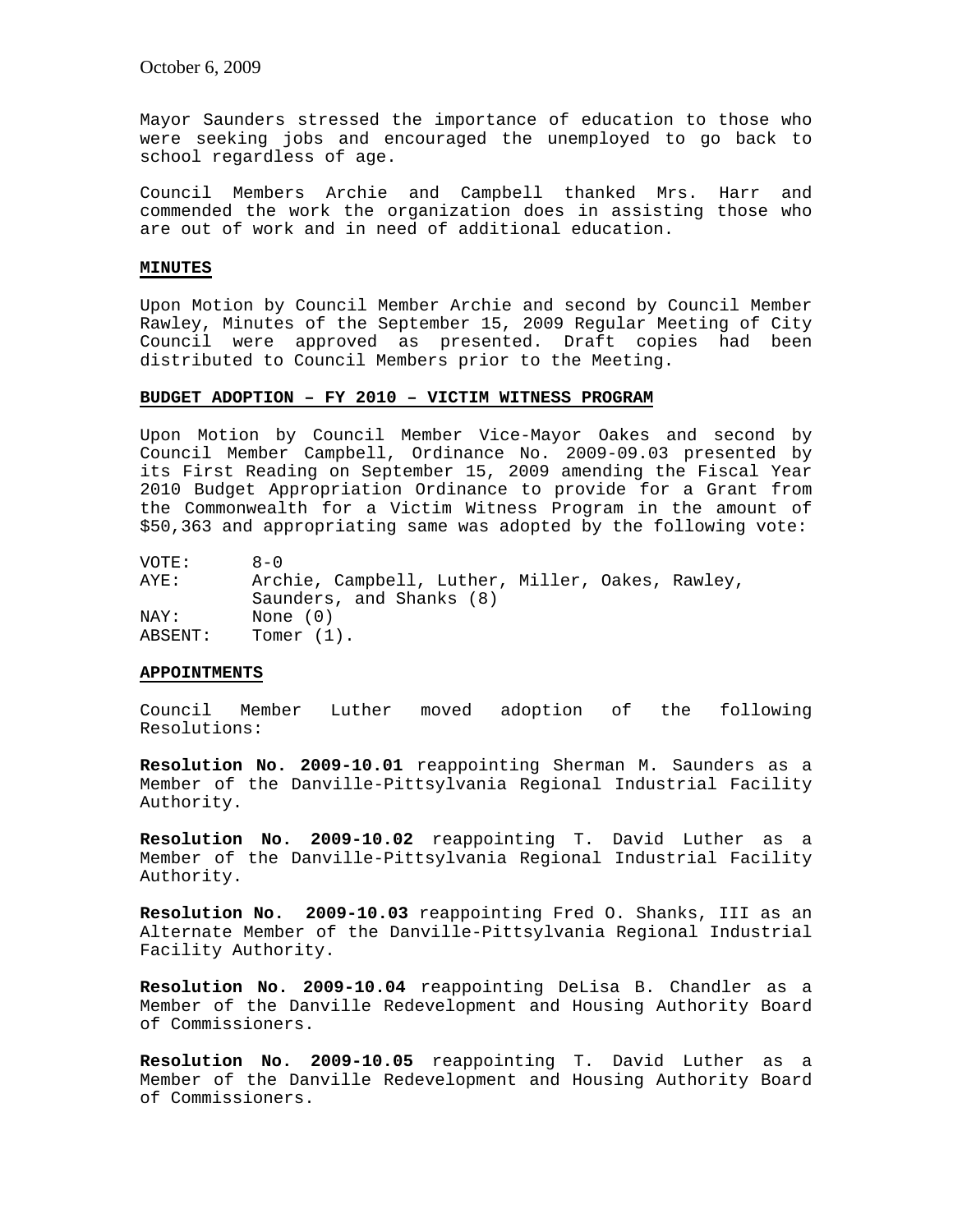Mayor Saunders stressed the importance of education to those who were seeking jobs and encouraged the unemployed to go back to school regardless of age.

Council Members Archie and Campbell thanked Mrs. Harr and commended the work the organization does in assisting those who are out of work and in need of additional education.

# **MINUTES**

Upon Motion by Council Member Archie and second by Council Member Rawley, Minutes of the September 15, 2009 Regular Meeting of City Council were approved as presented. Draft copies had been distributed to Council Members prior to the Meeting.

### **BUDGET ADOPTION – FY 2010 – VICTIM WITNESS PROGRAM**

Upon Motion by Council Member Vice-Mayor Oakes and second by Council Member Campbell, Ordinance No. 2009-09.03 presented by its First Reading on September 15, 2009 amending the Fiscal Year 2010 Budget Appropriation Ordinance to provide for a Grant from the Commonwealth for a Victim Witness Program in the amount of \$50,363 and appropriating same was adopted by the following vote:

| VOTE:   | $A - 0$                                          |
|---------|--------------------------------------------------|
| AYE:    | Archie, Campbell, Luther, Miller, Oakes, Rawley, |
|         | Saunders, and Shanks (8)                         |
| NAY:    | None (0)                                         |
| ABSENT: | Tomer (1).                                       |

# **APPOINTMENTS**

Council Member Luther moved adoption of the following Resolutions:

**Resolution No. 2009-10.01** reappointing Sherman M. Saunders as a Member of the Danville-Pittsylvania Regional Industrial Facility Authority.

**Resolution No. 2009-10.02** reappointing T. David Luther as a Member of the Danville-Pittsylvania Regional Industrial Facility Authority.

**Resolution No. 2009-10.03** reappointing Fred O. Shanks, III as an Alternate Member of the Danville-Pittsylvania Regional Industrial Facility Authority.

**Resolution No. 2009-10.04** reappointing DeLisa B. Chandler as a Member of the Danville Redevelopment and Housing Authority Board of Commissioners.

**Resolution No. 2009-10.05** reappointing T. David Luther as a Member of the Danville Redevelopment and Housing Authority Board of Commissioners.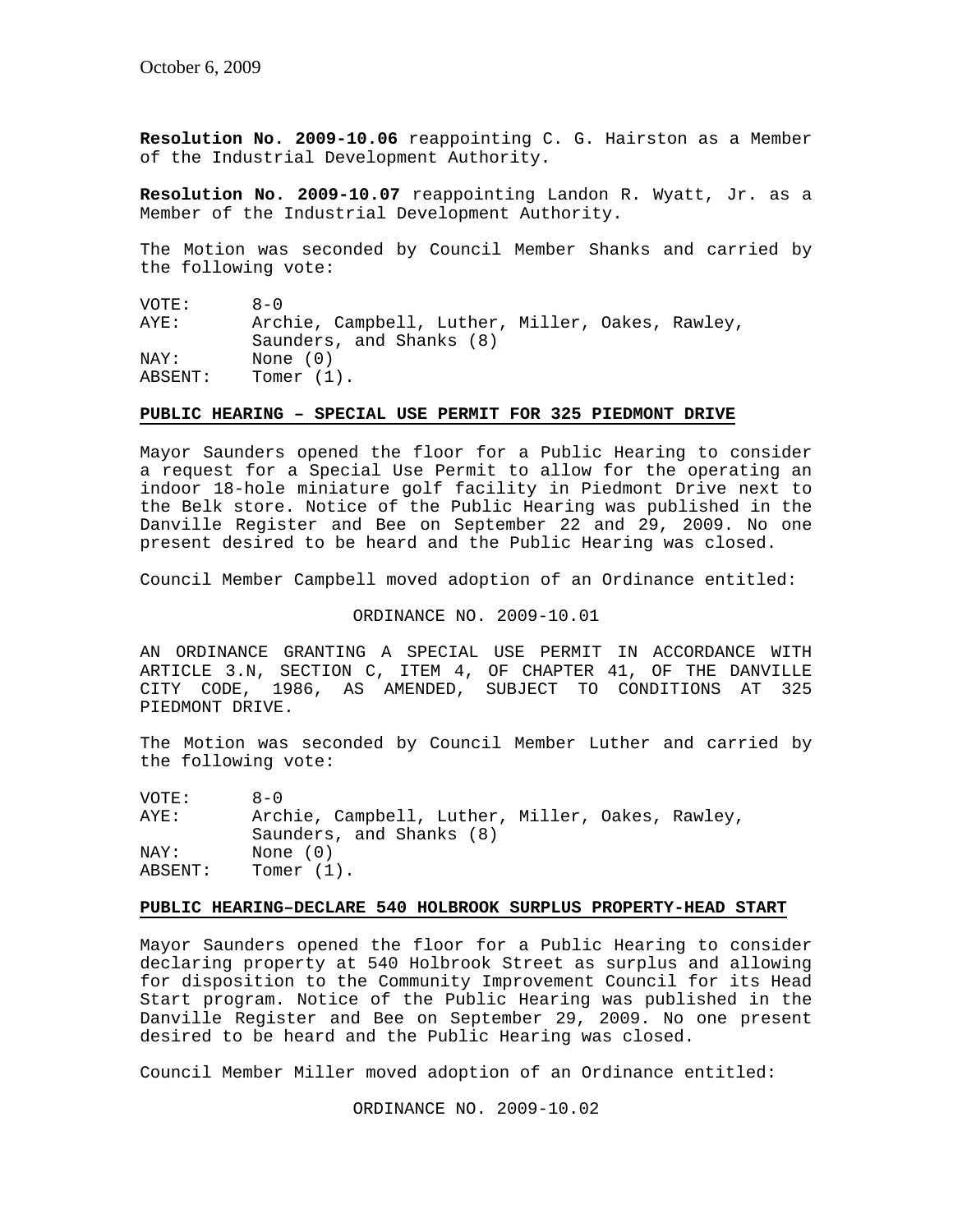**Resolution No. 2009-10.06** reappointing C. G. Hairston as a Member of the Industrial Development Authority.

**Resolution No. 2009-10.07** reappointing Landon R. Wyatt, Jr. as a Member of the Industrial Development Authority.

The Motion was seconded by Council Member Shanks and carried by the following vote:

VOTE: 8-0 AYE: Archie, Campbell, Luther, Miller, Oakes, Rawley, Saunders, and Shanks (8) NAY: None (0) ABSENT: Tomer (1).

#### **PUBLIC HEARING – SPECIAL USE PERMIT FOR 325 PIEDMONT DRIVE**

Mayor Saunders opened the floor for a Public Hearing to consider a request for a Special Use Permit to allow for the operating an indoor 18-hole miniature golf facility in Piedmont Drive next to the Belk store. Notice of the Public Hearing was published in the Danville Register and Bee on September 22 and 29, 2009. No one present desired to be heard and the Public Hearing was closed.

Council Member Campbell moved adoption of an Ordinance entitled:

ORDINANCE NO. 2009-10.01

AN ORDINANCE GRANTING A SPECIAL USE PERMIT IN ACCORDANCE WITH ARTICLE 3.N, SECTION C, ITEM 4, OF CHAPTER 41, OF THE DANVILLE CITY CODE, 1986, AS AMENDED, SUBJECT TO CONDITIONS AT 325 PIEDMONT DRIVE.

The Motion was seconded by Council Member Luther and carried by the following vote:

VOTE: 8-0 AYE: Archie, Campbell, Luther, Miller, Oakes, Rawley, Saunders, and Shanks (8) NAY: None (0) ABSENT: Tomer (1).

# **PUBLIC HEARING–DECLARE 540 HOLBROOK SURPLUS PROPERTY-HEAD START**

Mayor Saunders opened the floor for a Public Hearing to consider declaring property at 540 Holbrook Street as surplus and allowing for disposition to the Community Improvement Council for its Head Start program. Notice of the Public Hearing was published in the Danville Register and Bee on September 29, 2009. No one present desired to be heard and the Public Hearing was closed.

Council Member Miller moved adoption of an Ordinance entitled:

ORDINANCE NO. 2009-10.02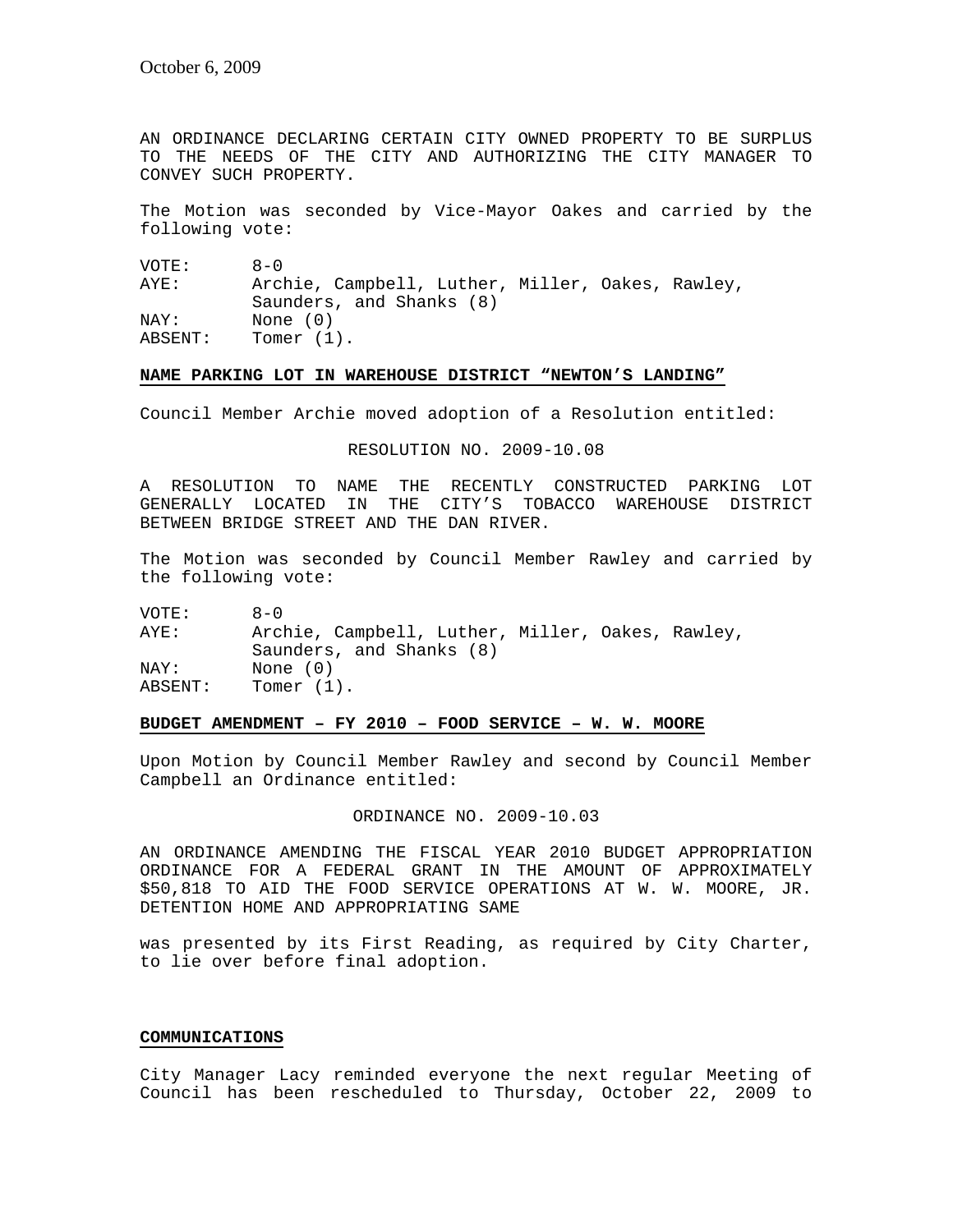AN ORDINANCE DECLARING CERTAIN CITY OWNED PROPERTY TO BE SURPLUS TO THE NEEDS OF THE CITY AND AUTHORIZING THE CITY MANAGER TO CONVEY SUCH PROPERTY.

The Motion was seconded by Vice-Mayor Oakes and carried by the following vote:

VOTE: 8-0 AYE: Archie, Campbell, Luther, Miller, Oakes, Rawley, Saunders, and Shanks (8) NAY: None (0) ABSENT: Tomer (1).

### **NAME PARKING LOT IN WAREHOUSE DISTRICT "NEWTON'S LANDING"**

Council Member Archie moved adoption of a Resolution entitled:

### RESOLUTION NO. 2009-10.08

A RESOLUTION TO NAME THE RECENTLY CONSTRUCTED PARKING LOT GENERALLY LOCATED IN THE CITY'S TOBACCO WAREHOUSE DISTRICT BETWEEN BRIDGE STREET AND THE DAN RIVER.

The Motion was seconded by Council Member Rawley and carried by the following vote:

VOTE: 8-0 AYE: Archie, Campbell, Luther, Miller, Oakes, Rawley, Saunders, and Shanks (8) NAY: None (0) ABSENT: Tomer  $(1)$ .

# **BUDGET AMENDMENT – FY 2010 – FOOD SERVICE – W. W. MOORE**

Upon Motion by Council Member Rawley and second by Council Member Campbell an Ordinance entitled:

ORDINANCE NO. 2009-10.03

AN ORDINANCE AMENDING THE FISCAL YEAR 2010 BUDGET APPROPRIATION ORDINANCE FOR A FEDERAL GRANT IN THE AMOUNT OF APPROXIMATELY \$50,818 TO AID THE FOOD SERVICE OPERATIONS AT W. W. MOORE, JR. DETENTION HOME AND APPROPRIATING SAME

was presented by its First Reading, as required by City Charter, to lie over before final adoption.

# **COMMUNICATIONS**

City Manager Lacy reminded everyone the next regular Meeting of Council has been rescheduled to Thursday, October 22, 2009 to